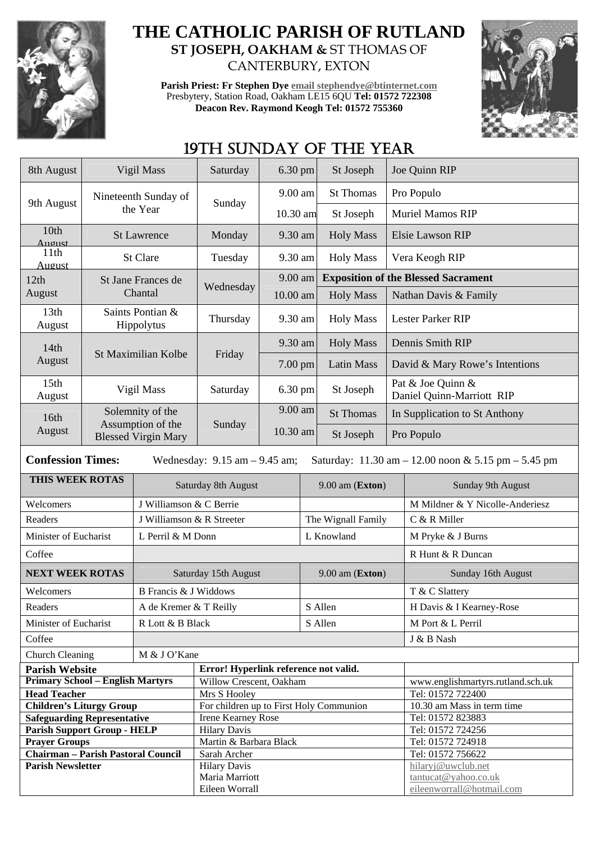

## **THE CATHOLIC PARISH OF RUTLAND ST JOSEPH, OAKHAM &** ST THOMAS OF CANTERBURY, EXTON

**Parish Priest: Fr Stephen Dye email stephendye@btinternet.com** Presbytery, Station Road, Oakham LE15 6QU **Tel: 01572 722308 Deacon Rev. Raymond Keogh Tel: 01572 755360** 



# 19TH SUNDAY OF THE YEAR

| 9.00 am<br><b>St Thomas</b><br>Pro Populo<br>Nineteenth Sunday of<br>9th August<br>Sunday<br>the Year<br><b>Muriel Mamos RIP</b><br>10.30 am<br>St Joseph<br>10th<br>9.30 am<br><b>Holy Mass</b><br>Elsie Lawson RIP<br><b>St Lawrence</b><br>Monday<br>August<br>11th<br>9.30 am<br>St Clare<br>Tuesday<br><b>Holy Mass</b><br>Vera Keogh RIP<br>August |  |  |  |
|----------------------------------------------------------------------------------------------------------------------------------------------------------------------------------------------------------------------------------------------------------------------------------------------------------------------------------------------------------|--|--|--|
|                                                                                                                                                                                                                                                                                                                                                          |  |  |  |
|                                                                                                                                                                                                                                                                                                                                                          |  |  |  |
|                                                                                                                                                                                                                                                                                                                                                          |  |  |  |
|                                                                                                                                                                                                                                                                                                                                                          |  |  |  |
| 9.00 am<br><b>Exposition of the Blessed Sacrament</b><br>12th<br>St Jane Frances de                                                                                                                                                                                                                                                                      |  |  |  |
| Wednesday<br>August<br>Chantal<br>10.00 am<br><b>Holy Mass</b><br>Nathan Davis & Family                                                                                                                                                                                                                                                                  |  |  |  |
| 13th<br>Saints Pontian &<br>9.30 am<br>Thursday<br><b>Holy Mass</b><br>Lester Parker RIP<br>Hippolytus<br>August                                                                                                                                                                                                                                         |  |  |  |
| <b>Holy Mass</b><br>9.30 am<br>Dennis Smith RIP<br>14th                                                                                                                                                                                                                                                                                                  |  |  |  |
| St Maximilian Kolbe<br>Friday<br>August<br>Latin Mass<br>David & Mary Rowe's Intentions<br>$7.00 \text{ pm}$                                                                                                                                                                                                                                             |  |  |  |
| 15th<br>Pat & Joe Quinn &<br>Vigil Mass<br>6.30 pm<br>St Joseph<br>Saturday<br>Daniel Quinn-Marriott RIP<br>August                                                                                                                                                                                                                                       |  |  |  |
| 9.00 am<br>Solemnity of the<br><b>St Thomas</b><br>In Supplication to St Anthony<br>16th                                                                                                                                                                                                                                                                 |  |  |  |
| Assumption of the<br>Sunday<br>August<br>10.30 am<br>St Joseph<br>Pro Populo<br><b>Blessed Virgin Mary</b>                                                                                                                                                                                                                                               |  |  |  |
| <b>Confession Times:</b><br>Saturday: $11.30 \text{ am} - 12.00 \text{ noon} \& 5.15 \text{ pm} - 5.45 \text{ pm}$<br>Wednesday: $9.15$ am $- 9.45$ am;                                                                                                                                                                                                  |  |  |  |
| THIS WEEK ROTAS<br>Sunday 9th August<br>Saturday 8th August<br>$9.00$ am (Exton)                                                                                                                                                                                                                                                                         |  |  |  |
| J Williamson & C Berrie<br>M Mildner & Y Nicolle-Anderiesz<br>Welcomers                                                                                                                                                                                                                                                                                  |  |  |  |
| Readers<br>The Wignall Family<br>J Williamson & R Streeter<br>C & R Miller                                                                                                                                                                                                                                                                               |  |  |  |
| Minister of Eucharist<br>L Knowland<br>L Perril & M Donn<br>M Pryke & J Burns                                                                                                                                                                                                                                                                            |  |  |  |
| R Hunt & R Duncan<br>Coffee                                                                                                                                                                                                                                                                                                                              |  |  |  |
| <b>NEXT WEEK ROTAS</b><br>Saturday 15th August<br>9.00 am (Exton)<br>Sunday 16th August                                                                                                                                                                                                                                                                  |  |  |  |
| <b>B</b> Francis & J Widdows<br>T & C Slattery<br>Welcomers                                                                                                                                                                                                                                                                                              |  |  |  |
| Readers<br>S Allen<br>A de Kremer & T Reilly<br>H Davis & I Kearney-Rose                                                                                                                                                                                                                                                                                 |  |  |  |
| Minister of Eucharist<br>R Lott & B Black<br>S Allen<br>M Port & L Perril                                                                                                                                                                                                                                                                                |  |  |  |
| Coffee<br>J & B Nash                                                                                                                                                                                                                                                                                                                                     |  |  |  |
| Church Cleaning<br>M & J O'Kane                                                                                                                                                                                                                                                                                                                          |  |  |  |
| Error! Hyperlink reference not valid.<br><b>Parish Website</b>                                                                                                                                                                                                                                                                                           |  |  |  |
| <b>Primary School - English Martyrs</b><br>Willow Crescent, Oakham<br>www.englishmartyrs.rutland.sch.uk                                                                                                                                                                                                                                                  |  |  |  |
| <b>Head Teacher</b><br>Mrs S Hooley<br>Tel: 01572 722400                                                                                                                                                                                                                                                                                                 |  |  |  |
| <b>Children's Liturgy Group</b><br>For children up to First Holy Communion<br>10.30 am Mass in term time                                                                                                                                                                                                                                                 |  |  |  |
| <b>Safeguarding Representative</b><br><b>Irene Kearney Rose</b><br>Tel: 01572 823883<br><b>Parish Support Group - HELP</b><br><b>Hilary Davis</b><br>Tel: 01572 724256                                                                                                                                                                                   |  |  |  |
| <b>Prayer Groups</b><br>Martin & Barbara Black<br>Tel: 01572 724918                                                                                                                                                                                                                                                                                      |  |  |  |
| <b>Chairman - Parish Pastoral Council</b><br>Tel: 01572 756622<br>Sarah Archer                                                                                                                                                                                                                                                                           |  |  |  |
| <b>Parish Newsletter</b><br><b>Hilary Davis</b><br>hilaryj@uwclub.net                                                                                                                                                                                                                                                                                    |  |  |  |
| Maria Marriott<br>tantucat@yahoo.co.uk                                                                                                                                                                                                                                                                                                                   |  |  |  |